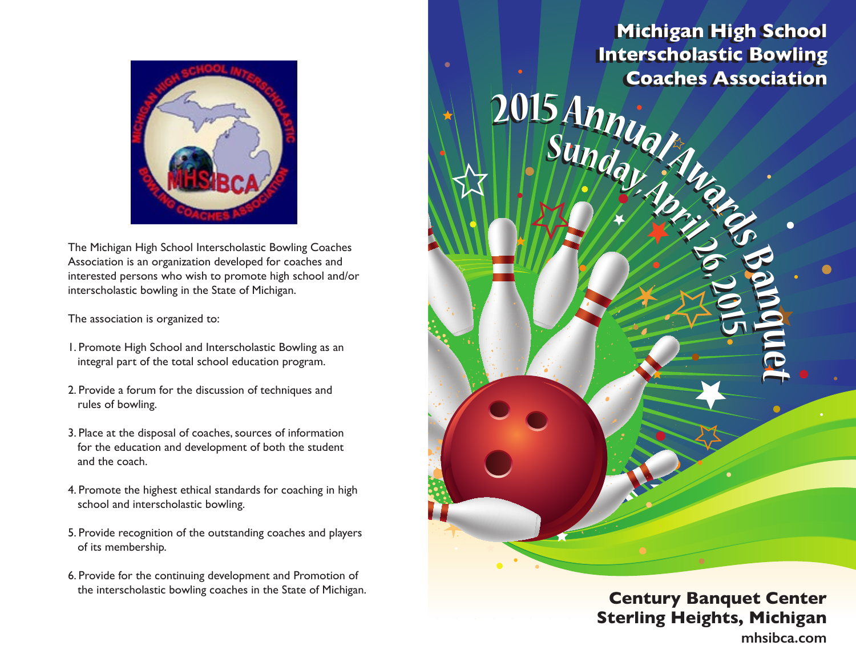

The Michigan High School Interscholastic Bowling Coaches Association is an organization developed for coaches and interested persons who wish to promote high school and/or interscholastic bowling in the State of Michigan.

The association is organized to:

- 1. Promote High School and Interscholastic Bowling as an integral part of the total school education program.
- 2. Provide a forum for the discussion of techniques and rules of bowling.
- 3. Place at the disposal of coaches, sources of information for the education and development of both the student and the coach.
- 4. Promote the highest ethical standards for coaching in high school and interscholastic bowling.
- 5. Provide recognition of the outstanding coaches and players of its membership.
- 6. Provide for the continuing development and Promotion of the interscholastic bowling coaches in the State of Michigan. **Century Banquet Center**

**Michigan High School Michigan High School Interscholastic Bowling Coaches Association Coaches AssociationInterscholastic Bowling** 

**2015 Annually Sundational Contract of Band** 

**Sunday,April26,2015 <sup>2</sup>015AnnualAward<sup>s</sup> <sup>B</sup>anq<sup>u</sup>**

**Sunday,April26,2015**



**mhsibca.com**

**e t**

**e t**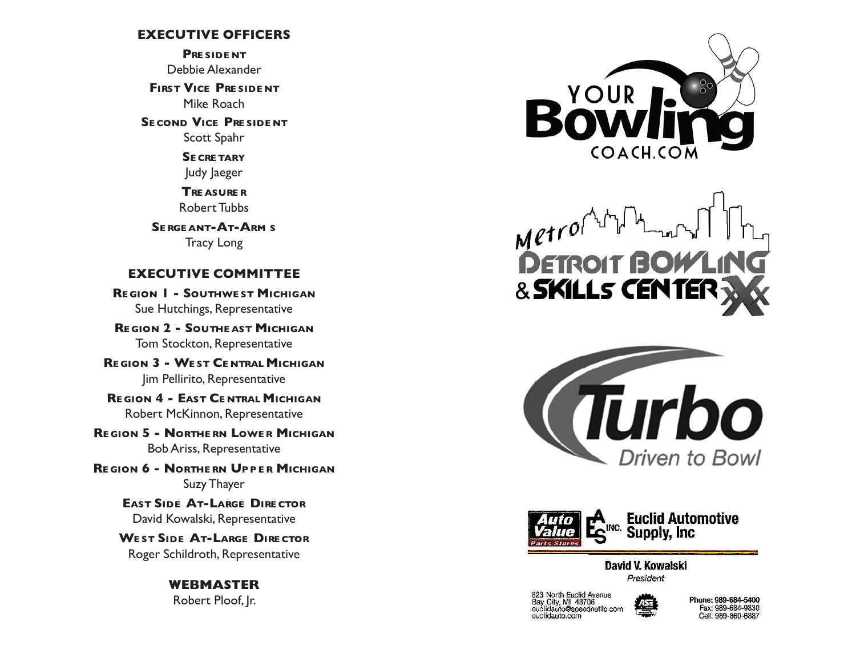## **EXECUTIVE OFFICERS**

**Pre side nt** Debbie Alexander

**FIRST VICE PRESIDENT** Mike Roach

**SE COND VICE PRESIDENT** Scott Spahr

> **Se cre tary** Judy Jaeger

**Tre asure r** Robert Tubbs

**Se rge ant-At-Arm s** Tracy Long

## **EXECUTIVE COMMITTEE**

**Re gion 1 - Southwe st Michigan** Sue Hutchings, Representative

**Re gion 2 - Southe ast Michigan** Tom Stockton, Representative

**Re gion 3 - We st Ce ntral Michigan** Jim Pellirito, Representative

**Re gion 4 - East Ce ntral Michigan** Robert McKinnon, Representative

**Re gion 5 - Northe rn Lowe r Michigan** Bob Ariss, Representative

**Re gion 6 - Northe rn Upp e r Michigan** Suzy Thayer

> **East Side At-Large Dire ctor** David Kowalski, Representative

**We st Side At-Large Dire ctor** Roger Schildroth, Representative

## **WEBMASTER** Robert Ploof, Jr.



 $M$ etrol & SKILLS CENTEI





David V. Kowalski President

823 North Euclid Avenue<br>Bay City, MI 48706<br>euclidauto@speednetllc.com euclidauto.com



Phone: 989-684-5400 Fax: 989-684-9830 Cell: 989-860-6887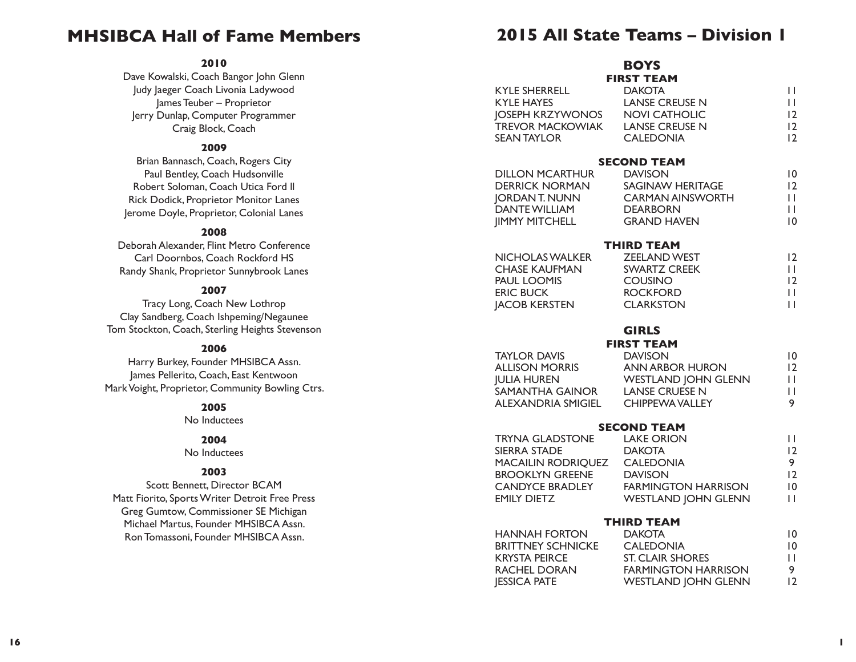# **MHSIBCA Hall of Fame Members**

#### **2010**

Dave Kowalski, Coach Bangor John Glenn Judy Jaeger Coach Livonia Ladywood James Teuber – Proprietor Jerry Dunlap, Computer Programmer Craig Block, Coach

#### **2009**

Brian Bannasch, Coach, Rogers City Paul Bentley, Coach Hudsonville Robert Soloman, Coach Utica Ford ll Rick Dodick, Proprietor Monitor Lanes Jerome Doyle, Proprietor, Colonial Lanes

#### **2008**

Deborah Alexander, Flint Metro Conference Carl Doornbos, Coach Rockford HS Randy Shank, Proprietor Sunnybrook Lanes

#### **2007**

Tracy Long, Coach New Lothrop Clay Sandberg, Coach Ishpeming/Negaunee Tom Stockton, Coach, Sterling Heights Stevenson

#### **2006**

Harry Burkey, Founder MHSIBCA Assn. James Pellerito, Coach, East Kentwoon Mark Voight, Proprietor, Community Bowling Ctrs.

#### **2005**

No Inductees

#### **2004**

No Inductees

#### **2003**

Scott Bennett, Director BCAM Matt Fiorito, Sports Writer Detroit Free Press Greg Gumtow, Commissioner SE Michigan Michael Martus, Founder MHSIBCA Assn. Ron Tomassoni, Founder MHSIBCA Assn.

## **2015 All State Teams – Division 1**

**BOYS**

|                                                               | <b>FIRST TEAM</b>                                                                                                       |                                     |
|---------------------------------------------------------------|-------------------------------------------------------------------------------------------------------------------------|-------------------------------------|
| <b>KYLE SHERRELL</b><br><b>KYLE HAYES</b><br>JOSEPH KRZYWONOS | darota<br>Lanse Creuse N<br>Novi Cre<br>JOSEPH KRZYWONOS         NOVI CATHOLIC<br>TREVOR MACKOWIAK       LANSE CREUSE N | П<br>П<br>12                        |
| <b>SEAN TAYLOR</b>                                            | <b>CALEDONIA</b>                                                                                                        | 12<br>12                            |
|                                                               | <b>SECOND TEAM</b>                                                                                                      | $\overline{10}$                     |
|                                                               |                                                                                                                         | 12                                  |
|                                                               |                                                                                                                         | П                                   |
| <b>DANTE WILLIAM</b><br><b>IIMMY MITCHELL</b>                 | <b>DEARBORN</b><br><b>GRAND HAVEN</b>                                                                                   | $\mathsf{L}$<br>$\overline{10}$     |
|                                                               | <b>THIRD TEAM</b>                                                                                                       |                                     |
| NICHOLAS WALKER<br>CHASE KAUFMAN                              | <b>THEATH</b><br>ZEELAND WEST<br>SWARTZ CREEK                                                                           | 12                                  |
| <b>PAUL LOOMIS</b>                                            | <b>COUSINO</b>                                                                                                          | Ш<br>12                             |
|                                                               | <b>ROCKFORD</b>                                                                                                         | $\mathsf{L}$                        |
| ⊑ni∪ BUCK<br>JACOB KERSTEN                                    | <b>CLARKSTON</b>                                                                                                        | $\mathbf{H}$                        |
|                                                               | <b>GIRLS</b>                                                                                                            |                                     |
| <b>TAYLOR DAVIS</b>                                           | <b>FIRST TEAM</b><br><b>DAVISON</b>                                                                                     | $\overline{\mathsf{I}}\,\mathsf{0}$ |
| <b>ALLISON MORRIS</b>                                         | <b>ANN ARBOR HURON</b>                                                                                                  | 12                                  |
| <b>JULIA HUREN</b><br>SAMANTHA GAINOR LANSE CRUESE N          | <b>WESTLAND JOHN GLENN</b>                                                                                              | Ħ<br>П                              |
| ALEXANDRIA SMIGIEL                                            | <b>CHIPPEWA VALLEY</b>                                                                                                  | 9                                   |
|                                                               | <b>SECOND TEAM</b>                                                                                                      |                                     |
| <b>TRYNA GLADSTONE</b><br><b>SIERRA STADE</b>                 | <b>LAKE ORION</b><br><b>DAKOTA</b>                                                                                      | П<br>12                             |
| MACAILIN RODRIQUEZ CALEDONIA                                  |                                                                                                                         | 9                                   |
| BROOKLYN GREENE DAVISON                                       |                                                                                                                         | 12                                  |
| <b>EMILY DIETZ</b>                                            | CANDYCE BRADLEY FARMINGTON HARRISON<br><b>WESTLAND JOHN GLENN</b>                                                       | $\overline{10}$<br>Ш                |
| <b>THIRD TEAM</b>                                             |                                                                                                                         |                                     |
| <b>HANNAH FORTON</b>                                          | <b>DAKOTA</b>                                                                                                           | $\overline{10}$                     |
| <b>BRITTNEY SCHNICKE</b><br><b>KRYSTA PEIRCE</b>              | <b>CALEDONIA</b><br><b>ST. CLAIR SHORES</b>                                                                             | $\,$ I O<br>П                       |
| RACHEL DORAN                                                  | <b>FARMINGTON HARRISON</b>                                                                                              | 9                                   |
| <b>JESSICA PATE</b>                                           | <b>WESTLAND JOHN GLENN</b>                                                                                              | 12                                  |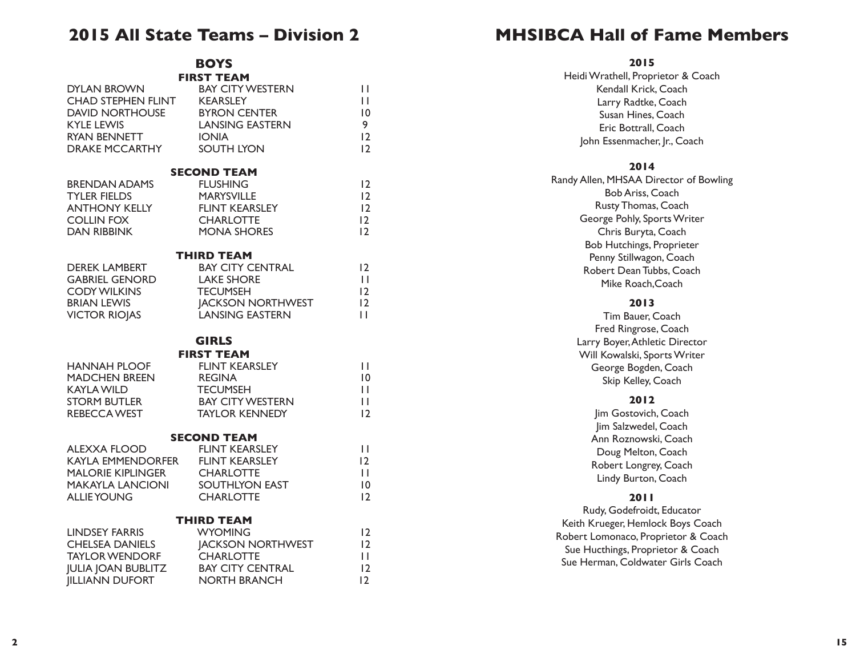# **2015 All State Teams – Division 2**

**BOYS FIRST TEAM**

| DYLAN BROWN                                                                                                        | <b>BAY CITY WESTERN</b>                                                                                                                            | П                                              |
|--------------------------------------------------------------------------------------------------------------------|----------------------------------------------------------------------------------------------------------------------------------------------------|------------------------------------------------|
| CHAD STEPHEN FLINT                                                                                                 | <b>KEARSLEY</b>                                                                                                                                    | П                                              |
| <b>DAVID NORTHOUSE</b>                                                                                             | <b>BYRON CENTER</b>                                                                                                                                | $\overline{0}$                                 |
| <b>KYLE LEWIS</b>                                                                                                  | <b>LANSING EASTERN</b>                                                                                                                             | 9                                              |
| RYAN BENNETT                                                                                                       | <b>IONIA</b>                                                                                                                                       | 12                                             |
| <b>DRAKE MCCARTHY</b>                                                                                              | <b>SOUTH LYON</b>                                                                                                                                  | 12                                             |
| <b>BRENDAN ADAMS</b><br><b>TYLER FIELDS</b><br><b>ANTHONY KELLY</b><br><b>COLLIN FOX</b><br><b>DAN RIBBINK</b>     | <b>SECOND TEAM</b><br><b>FLUSHING</b><br><b>MARYSVILLE</b><br><b>FLINT KEARSLEY</b><br><b>CHARLOTTE</b><br><b>MONA SHORES</b>                      | 12<br>12<br>12<br>12<br>12                     |
| <b>DEREK LAMBERT</b><br><b>GABRIEL GENORD</b><br><b>CODY WILKINS</b><br><b>BRIAN LEWIS</b><br><b>VICTOR RIOJAS</b> | <b>THIRD TEAM</b><br><b>BAY CITY CENTRAL</b><br><b>LAKE SHORE</b><br><b>TECUMSEH</b><br><b>JACKSON NORTHWEST</b><br><b>LANSING EASTERN</b>         | 12<br>$\mathbf{H}$<br>12<br>12<br>$\mathbf{L}$ |
| <b>HANNAH PLOOF</b><br><b>MADCHEN BREEN</b><br><b>KAYLA WILD</b><br><b>STORM BUTLER</b><br>REBECCA WEST            | <b>GIRLS</b><br><b>FIRST TEAM</b><br><b>FLINT KEARSLEY</b><br><b>REGINA</b><br><b>TECUMSEH</b><br><b>BAY CITY WESTERN</b><br><b>TAYLOR KENNEDY</b> | П<br>$\overline{0}$<br>П<br>П<br>12            |
| <b>ALEXXA FLOOD</b>                                                                                                | <b>SECOND TEAM</b>                                                                                                                                 | $\mathbf{H}$                                   |
| <b>KAYLA EMMENDORFER FLINT KEARSLEY</b>                                                                            | <b>FLINT KEARSLEY</b>                                                                                                                              | $\overline{2}$                                 |
| <b>MALORIE KIPLINGER</b>                                                                                           | <b>CHARLOTTE</b>                                                                                                                                   | Ħ                                              |
| <b>MAKAYLA LANCIONI</b>                                                                                            | SOUTHLYON EAST                                                                                                                                     | $\overline{10}$                                |
| <b>ALLIE YOUNG</b>                                                                                                 | <b>CHARLOTTE</b>                                                                                                                                   | 12                                             |
| <b>LINDSEY FARRIS</b>                                                                                              | <b>THIRD TEAM</b>                                                                                                                                  | 12                                             |
| <b>CHELSEA DANIELS</b>                                                                                             | <b>WYOMING</b>                                                                                                                                     | 12                                             |
| <b>TAYLOR WENDORF</b>                                                                                              | <b>JACKSON NORTHWEST</b>                                                                                                                           | П                                              |
| <b>JULIA JOAN BUBLITZ BAY CITY CENTRAL</b>                                                                         | <b>CHARLOTTE</b>                                                                                                                                   | $\overline{2}$                                 |
| <b>IILLIANN DUFORT</b>                                                                                             | <b>NORTH BRANCH</b>                                                                                                                                | 12                                             |

# **MHSIBCA Hall of Fame Members**

**2015**

| ZUIJ                                   |
|----------------------------------------|
| Heidi Wrathell, Proprietor & Coach     |
| Kendall Krick, Coach                   |
| Larry Radtke, Coach                    |
| Susan Hines, Coach                     |
| Eric Bottrall, Coach                   |
| John Essenmacher, Jr., Coach           |
| 2014                                   |
| Randy Allen, MHSAA Director of Bowling |
| <b>Bob Ariss, Coach</b>                |
| Rusty Thomas, Coach                    |
| George Pohly, Sports Writer            |
| Chris Buryta, Coach                    |
| <b>Bob Hutchings, Proprieter</b>       |
| Penny Stillwagon, Coach                |
| Robert Dean Tubbs, Coach               |
| Mike Roach, Coach                      |
| 2013                                   |
| Tim Bauer, Coach                       |
| Fred Ringrose, Coach                   |
| Larry Boyer, Athletic Director         |
| Will Kowalski, Sports Writer           |
| George Bogden, Coach                   |
| Skip Kelley, Coach                     |
| 2012                                   |
| Jim Gostovich, Coach                   |
| Jim Salzwedel, Coach                   |
| Ann Roznowski, Coach                   |
| Doug Melton, Coach                     |
| Robert Longrey, Coach                  |
|                                        |
| Lindy Burton, Coach                    |
| 20 I I                                 |
| Rudy, Godefroidt, Educator             |
| Keith Krueger, Hemlock Boys Coach      |
| Robert Lomonaco, Proprietor & Coach    |
| Sue Hucthings, Proprietor & Coach      |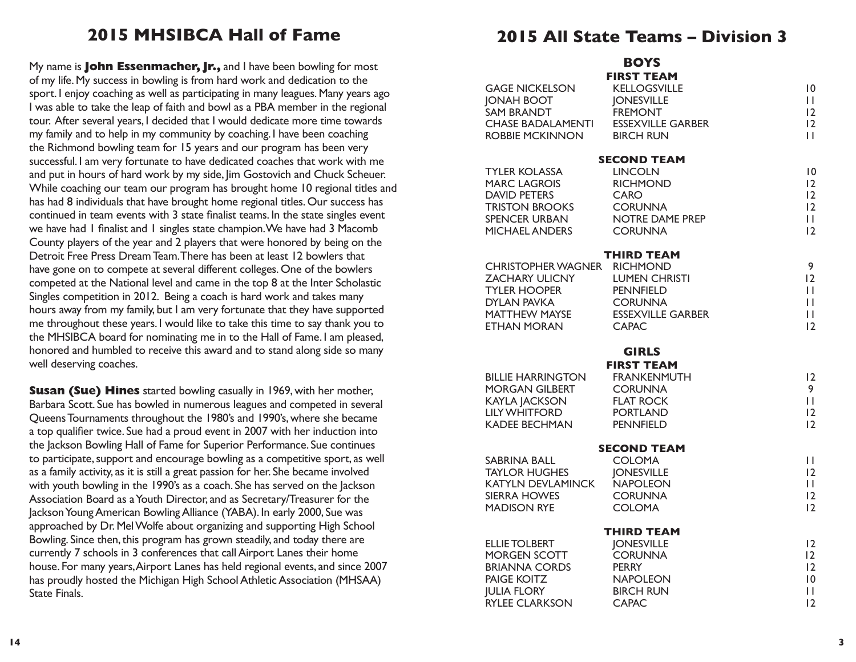# **2015 MHSIBCA Hall of Fame**

My name is **John Essenmacher, Jr.,** and I have been bowling for most of my life. My success in bowling is from hard work and dedication to the sport. I enjoy coaching as well as participating in many leagues. Many years ago I was able to take the leap of faith and bowl as a PBA member in the regional tour. After several years, I decided that I would dedicate more time towards my family and to help in my community by coaching. I have been coaching the Richmond bowling team for 15 years and our program has been very successful. I am very fortunate to have dedicated coaches that work with me and put in hours of hard work by my side, Jim Gostovich and Chuck Scheuer. While coaching our team our program has brought home 10 regional titles and has had 8 individuals that have brought home regional titles. Our success has continued in team events with 3 state finalist teams. In the state singles event we have had 1 finalist and 1 singles state champion. We have had 3 Macomb County players of the year and 2 players that were honored by being on the Detroit Free Press Dream Team. There has been at least 12 bowlers that have gone on to compete at several different colleges. One of the bowlers competed at the National level and came in the top 8 at the Inter Scholastic Singles competition in 2012. Being a coach is hard work and takes many hours away from my family, but I am very fortunate that they have supported me throughout these years. I would like to take this time to say thank you to the MHSIBCA board for nominating me in to the Hall of Fame. I am pleased, honored and humbled to receive this award and to stand along side so many well deserving coaches.

**Susan (Sue) Hines** started bowling casually in 1969, with her mother, Barbara Scott. Sue has bowled in numerous leagues and competed in several Queens Tournaments throughout the 1980's and 1990's, where she became a top qualifier twice. Sue had a proud event in 2007 with her induction into the Jackson Bowling Hall of Fame for Superior Performance. Sue continues to participate, support and encourage bowling as a competitive sport, as well as a family activity, as it is still a great passion for her. She became involved with youth bowling in the 1990's as a coach. She has served on the Jackson Association Board as a Youth Director, and as Secretary/Treasurer for the Jackson Young American Bowling Alliance (YABA). In early 2000, Sue was approached by Dr. Mel Wolfe about organizing and supporting High School Bowling. Since then, this program has grown steadily, and today there are currently 7 schools in 3 conferences that call Airport Lanes their home house. For many years, Airport Lanes has held regional events, and since 2007 has proudly hosted the Michigan High School Athletic Association (MHSAA) State Finals.

# **2015 All State Teams – Division 3**

| <b>GAGE NICKELSON</b><br><b>JONAH BOOT</b><br><b>SAM BRANDT</b> | <b>BOYS</b><br><b>FIRST TEAM</b><br><b>KELLOGSVILLE</b><br><b>JONESVILLE</b><br><b>FREMONT</b> | 10<br>П<br>12   |
|-----------------------------------------------------------------|------------------------------------------------------------------------------------------------|-----------------|
| <b>CHASE BADALAMENTI</b>                                        | <b>ESSEXVILLE GARBER</b>                                                                       | $\overline{2}$  |
| ROBBIE MCKINNON                                                 | <b>BIRCH RUN</b>                                                                               | П               |
|                                                                 | <b>SECOND TEAM</b>                                                                             |                 |
| <b>TYLER KOLASSA</b>                                            | <b>LINCOLN</b>                                                                                 | 10              |
| <b>MARC LAGROIS</b>                                             | <b>RICHMOND</b>                                                                                | $\overline{2}$  |
| <b>DAVID PETERS</b>                                             | <b>CARO</b>                                                                                    | $\overline{2}$  |
| <b>TRISTON BROOKS</b>                                           | <b>CORUNNA</b>                                                                                 | 12              |
| SPENCER URBAN                                                   | NOTRE DAME PREP                                                                                | Ш               |
| <b>MICHAEL ANDERS</b>                                           | <b>CORUNNA</b>                                                                                 | $\overline{12}$ |
|                                                                 | THIRD TEAM                                                                                     |                 |
| CHRISTOPHER WAGNER RICHMOND<br><b>ZACHARY ULICNY</b>            | <b>LUMEN CHRISTI</b>                                                                           | 9<br>12         |
| <b>TYLER HOOPER</b>                                             | PENNFIELD                                                                                      | $\mathbf{H}$    |
| <b>DYLAN PAVKA</b>                                              | <b>CORUNNA</b>                                                                                 | П               |
| <b>MATTHEW MAYSE</b>                                            | <b>ESSEXVILLE GARBER</b>                                                                       | П               |
| <b>ETHAN MORAN</b>                                              | <b>CAPAC</b>                                                                                   | $\overline{2}$  |
|                                                                 |                                                                                                |                 |
|                                                                 | <b>GIRLS</b><br><b>FIRST TEAM</b>                                                              |                 |
| <b>BILLIE HARRINGTON</b>                                        | <b>FRANKENMUTH</b>                                                                             | $\overline{2}$  |
| <b>MORGAN GILBERT</b>                                           | <b>CORUNNA</b>                                                                                 | 9               |
| <b>KAYLA JACKSON</b>                                            | <b>FLAT ROCK</b>                                                                               | Ш               |
| <b>LILY WHITFORD</b>                                            | <b>PORTLAND</b>                                                                                | $\overline{2}$  |
| <b>KADEE BECHMAN</b>                                            | <b>PENNFIELD</b>                                                                               | 12              |
|                                                                 | <b>SECOND TEAM</b>                                                                             |                 |
| SABRINA BALL                                                    | <b>COLOMA</b>                                                                                  | Ш               |
| <b>TAYLOR HUGHES</b>                                            | <b>JONESVILLE</b>                                                                              | $\overline{2}$  |
| KATYLN DEVLAMINCK                                               | <b>NAPOLEON</b>                                                                                | Ш               |
| SIERRA HOWES                                                    | <b>CORUNNA</b>                                                                                 | 12              |
| <b>MADISON RYE</b>                                              | <b>COLOMA</b>                                                                                  | 12              |
|                                                                 | <b>THIRD TEAM</b>                                                                              |                 |
| ELLIE TOLBERT                                                   | <b>JONESVILLE</b>                                                                              | $\overline{2}$  |
| <b>MORGEN SCOTT</b>                                             | <b>CORUNNA</b>                                                                                 | $\overline{2}$  |
| <b>BRIANNA CORDS</b>                                            | <b>PERRY</b>                                                                                   | 12              |
| <b>PAIGE KOITZ</b>                                              | <b>NAPOLEON</b>                                                                                | 10              |
| <b>JULIA FLORY</b>                                              | <b>BIRCH RUN</b>                                                                               | Ш               |
| <b>RYLEE CLARKSON</b>                                           | <b>CAPAC</b>                                                                                   | $\overline{2}$  |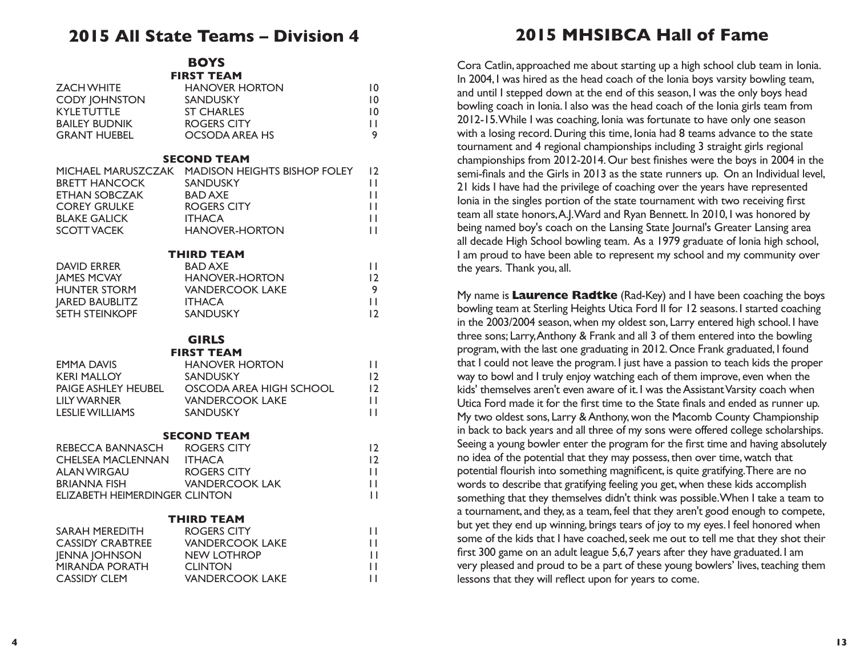## **2015 All State Teams – Division 4**

**BOYS FIRST TEAM**

| <b>ZACH WHITE</b><br><b>CODY JOHNSTON</b><br><b>KYLETUTTLE</b><br><b>BAILEY BUDNIK</b><br><b>GRANT HUEBEL</b>    | FIRƏ I FAM<br><b>HANOVER HORTON</b><br><b>SANDUSKY</b><br><b>ST CHARLES</b><br><b>ROGERS CITY</b><br><b>OCSODA AREA HS</b>                                                 | 10<br>10<br>10<br>Ш<br>9                        |
|------------------------------------------------------------------------------------------------------------------|----------------------------------------------------------------------------------------------------------------------------------------------------------------------------|-------------------------------------------------|
| <b>BRETT HANCOCK</b><br><b>ETHAN SOBCZAK</b><br><b>COREY GRULKE</b><br><b>BLAKE GALICK</b><br><b>SCOTT VACEK</b> | <b>SECOND TEAM</b><br>MICHAEL MARUSZCZAK MADISON HEIGHTS BISHOP FOLEY<br><b>SANDUSKY</b><br><b>BAD AXE</b><br><b>ROGERS CITY</b><br><b>ITHACA</b><br><b>HANOVER-HORTON</b> | $\overline{2}$<br>Ш<br>Ш<br>Ш<br>П<br>П         |
| <b>DAVID ERRER</b><br><b>JAMES MCVAY</b><br>HUNTER STORM<br><b>JARED BAUBLITZ</b><br>SETH STEINKOPF              | <b>THIRD TEAM</b><br><b>BAD AXE</b><br><b>HANOVER-HORTON</b><br><b>VANDERCOOK LAKE</b><br><b>ITHACA</b><br><b>SANDUSKY</b>                                                 | $\mathsf{L}$<br> 2 <br>9<br>Ш<br>$\overline{2}$ |
| <b>EMMA DAVIS</b><br><b>KERI MALLOY</b><br>PAIGE ASHLEY HEUBEL<br><b>LILY WARNER</b><br><b>LESLIE WILLIAMS</b>   | <b>GIRLS</b><br><b>FIRST TEAM</b><br><b>HANOVER HORTON</b><br><b>SANDUSKY</b><br>OSCODA AREA HIGH SCHOOL<br><b>VANDERCOOK LAKE</b><br><b>SANDUSKY</b>                      | H<br>$\overline{2}$<br>$\overline{2}$<br>П<br>H |
| REBECCA BANNASCH ROGERS CITY<br><b>CHELSEA MACLENNAN</b><br><b>ELIZABETH HEIMERDINGER CLINTON</b>                | <b>SECOND TEAM</b><br><b>ITHACA</b>                                                                                                                                        | 12<br>12<br>H<br>П<br>Ħ                         |
| SARAH MEREDITH<br><b>CASSIDY CRABTREE</b><br><b>JENNA JOHNSON</b><br>MIRANDA PORATH<br><b>CASSIDY CLEM</b>       | <b>THIRD TEAM</b><br><b>ROGERS CITY</b><br><b>VANDERCOOK LAKE</b><br><b>NEW LOTHROP</b><br><b>CLINTON</b><br><b>VANDERCOOK LAKE</b>                                        | П<br>Ш<br>П<br>П<br>П                           |

# **2015 MHSIBCA Hall of Fame**

Cora Catlin, approached me about starting up a high school club team in Ionia. In 2004, I was hired as the head coach of the Ionia boys varsity bowling team, and until I stepped down at the end of this season, I was the only boys head bowling coach in Ionia. I also was the head coach of the Ionia girls team from 2012-15. While I was coaching, Ionia was fortunate to have only one season with a losing record. During this time, Ionia had 8 teams advance to the state tournament and 4 regional championships including 3 straight girls regional championships from 2012-2014. Our best finishes were the boys in 2004 in the semi-finals and the Girls in 2013 as the state runners up. On an Individual level, 21 kids I have had the privilege of coaching over the years have represented Ionia in the singles portion of the state tournament with two receiving first team all state honors, A.J. Ward and Ryan Bennett. In 2010, I was honored by being named boy's coach on the Lansing State Journal's Greater Lansing area all decade High School bowling team. As a 1979 graduate of Ionia high school, I am proud to have been able to represent my school and my community over the years. Thank you, all.

My name is **Laurence Radtke** (Rad-Key) and I have been coaching the boys bowling team at Sterling Heights Utica Ford II for 12 seasons. I started coaching in the 2003/2004 season, when my oldest son, Larry entered high school. I have three sons; Larry, Anthony & Frank and all 3 of them entered into the bowling program, with the last one graduating in 2012. Once Frank graduated, I found that I could not leave the program. I just have a passion to teach kids the proper way to bowl and I truly enjoy watching each of them improve, even when the kids' themselves aren't even aware of it. I was the Assistant Varsity coach when Utica Ford made it for the first time to the State finals and ended as runner up. My two oldest sons, Larry & Anthony, won the Macomb County Championship in back to back years and all three of my sons were offered college scholarships. Seeing a young bowler enter the program for the first time and having absolutely no idea of the potential that they may possess, then over time, watch that potential flourish into something magnificent, is quite gratifying. There are no words to describe that gratifying feeling you get, when these kids accomplish something that they themselves didn't think was possible. When I take a team to a tournament, and they, as a team, feel that they aren't good enough to compete, but yet they end up winning, brings tears of joy to my eyes. I feel honored when some of the kids that I have coached, seek me out to tell me that they shot their first 300 game on an adult league 5,6,7 years after they have graduated. I am very pleased and proud to be a part of these young bowlers' lives, teaching them lessons that they will reflect upon for years to come.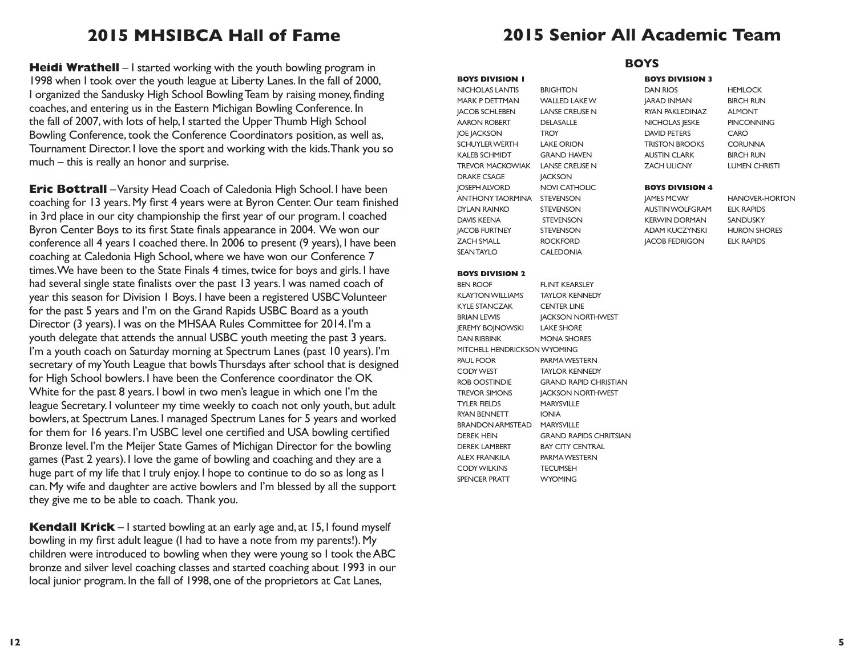# **2015 MHSIBCA Hall of Fame**

**Heidi Wrathell** – I started working with the youth bowling program in 1998 when I took over the youth league at Liberty Lanes. In the fall of 2000, I organized the Sandusky High School Bowling Team by raising money, finding coaches, and entering us in the Eastern Michigan Bowling Conference. In the fall of 2007, with lots of help, I started the Upper Thumb High School Bowling Conference, took the Conference Coordinators position, as well as, Tournament Director. I love the sport and working with the kids. Thank you so much – this is really an honor and surprise.

**Eric Bottrall** – Varsity Head Coach of Caledonia High School. I have been coaching for 13 years. My first 4 years were at Byron Center. Our team finished in 3rd place in our city championship the first year of our program. I coached Byron Center Boys to its first State finals appearance in 2004. We won our conference all 4 years I coached there. In 2006 to present (9 years), I have been coaching at Caledonia High School, where we have won our Conference 7 times. We have been to the State Finals 4 times, twice for boys and girls. I have had several single state finalists over the past 13 years. I was named coach of year this season for Division 1 Boys. I have been a registered USBC Volunteer for the past 5 years and I'm on the Grand Rapids USBC Board as a youth Director (3 years). I was on the MHSAA Rules Committee for 2014. I'm a youth delegate that attends the annual USBC youth meeting the past 3 years. I'm a youth coach on Saturday morning at Spectrum Lanes (past 10 years). I'm secretary of my Youth League that bowls Thursdays after school that is designed for High School bowlers. I have been the Conference coordinator the OK White for the past 8 years. I bowl in two men's league in which one I'm the league Secretary. I volunteer my time weekly to coach not only youth, but adult bowlers, at Spectrum Lanes. I managed Spectrum Lanes for 5 years and worked for them for 16 years. I'm USBC level one certified and USA bowling certified Bronze level. I'm the Meijer State Games of Michigan Director for the bowling games (Past 2 years). I love the game of bowling and coaching and they are a huge part of my life that I truly enjoy. I hope to continue to do so as long as I can. My wife and daughter are active bowlers and I'm blessed by all the support they give me to be able to coach. Thank you.

**Kendall Krick** – I started bowling at an early age and, at 15, I found myself bowling in my first adult league (I had to have a note from my parents!). My children were introduced to bowling when they were young so I took the ABC bronze and silver level coaching classes and started coaching about 1993 in our local junior program. In the fall of 1998, one of the proprietors at Cat Lanes,

# **2015 Senior All Academic Team**

**BOYS**

#### **BOYS DIVISION 1**

NICHOLAS LANTIS BRIGHTON MARK P DETTMAN WALLED LAKE W. JACOB SCHLEBEN LANSE CREUSE N AARON ROBERT DELASALLE JOE JACKSON TROY SCHUYLER WERTH LAKE ORION KALEB SCHMIDT GRAND HAVEN TREVOR MACKOWIAK LANSE CREUSE N DRAKE CSAGE **JACKSON** JOSEPH ALVORD NOVI CATHOLIC ANTHONY TAORMINA STEVENSON DYLAN RAINKO STEVENSON DAVIS KEENA STEVENSON JACOB FURTNEY STEVENSON ZACH SMALL ROCKFORD SEAN TAYLO CALEDONIA

#### **BOYS DIVISION 2**

BEN ROOF FLINT KEARSLEY KLAYTON WILLIAMS TAYLOR KENNEDY KYLE STANCZAK CENTER LINE BRIAN LEWIS **JACKSON NORTHWEST** JEREMY BOJNOWSKI LAKE SHORE DAN RIBBINK MONA SHORES MITCHELL HENDRICKSON WYOMING PAUL FOOR PARMA WESTERN CODY WEST TAYLOR KENNEDY ROB OOSTINDIE GRAND RAPID CHRISTIAN TREVOR SIMONS **JACKSON NORTHWEST** TYLER FIELDS MARYSVILLE RYAN BENNETT IONIA BRANDON ARMSTEAD MARYSVILLE DEREK HEIN GRAND RAPIDS CHRITSIAN DEREK LAMBERT BAY CITY CENTRAL ALEX FRANKILA PARMA WESTERN CODY WILKINS TECUMSEH SPENCER PRATT WYOMING

### **BOYS DIVISION 3**

DAN RIOS HEMLOCK JARAD INMAN BIRCH RUN RYAN PAKLEDINAZ ALMONT NICHOLAS JESKE PINCONNING DAVID PETERS CARO TRISTON BROOKS CORUNNA AUSTIN CLARK BIRCH RUN ZACH ULICNY LUMEN CHRISTI

#### **BOYS DIVISION 4**

AUSTIN WOLFGRAM ELK RAPIDS KERWIN DORMAN SANDUSKY ADAM KUCZYNSKI HURON SHORES JACOB FEDRIGON ELK RAPIDS

**IAMES MCVAY HANOVER-HORTON**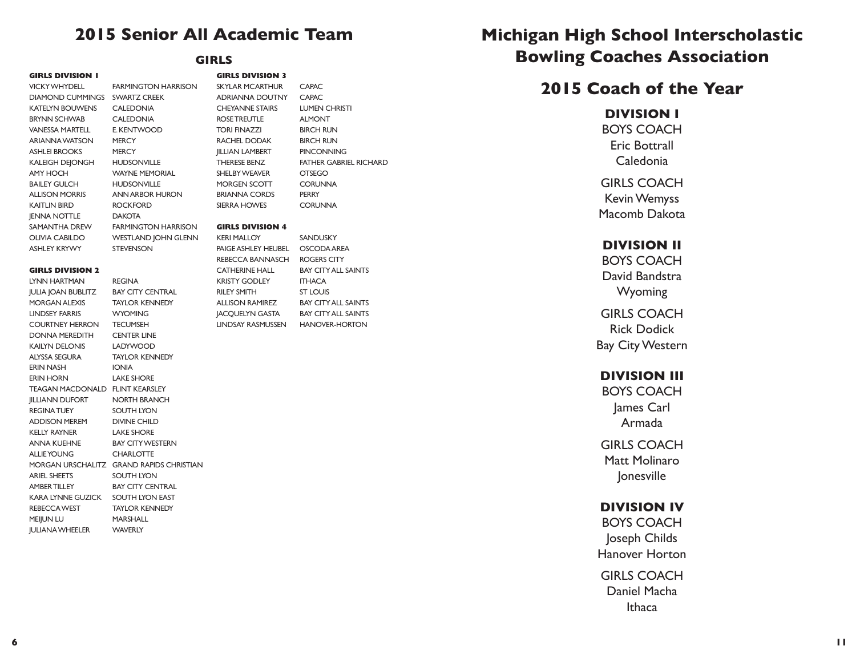# **2015 Senior All Academic Team**

**GIRLS DIVISION 1**

DIAMOND CUMMINGS SWARTZ CREEK KATELYN BOUWENS CALEDONIA BRYNN SCHWAB CALEDONIA VANESSA MARTELL E. KENTWOOD ARIANNA WATSON MERCY ASHLEI BROOKS MERCY KALEIGH DEJONGH HUDSONVILLE AMY HOCH WAYNE MEMORIAL BAILEY GULCH HUDSONVILLE KAITLIN BIRD ROCKFORD JENNA NOTTLE DAKOTA

VICKY WHYDELL FARMINGTON HARRISON ALLISON MORRIS ANN ARBOR HURON SAMANTHA DREW FARMINGTON HARRISON OLIVIA CABILDO WESTLAND JOHN GLENN ASHLEY KRYWY STEVENSON

#### **GIRLS DIVISION 2**

| LYNN HARTMAN REGINA                    |                                          |
|----------------------------------------|------------------------------------------|
| JULIA JOAN BUBLITZ BAY CITY CENTRAL    |                                          |
| MORGAN ALEXIS TAYLOR KENNEDY           |                                          |
| LINDSEY FARRIS WYOMING                 |                                          |
| COURTNEY HERRON TECUMSEH               |                                          |
| DONNA MEREDITH CENTER LINE             |                                          |
| KAILYN DELONIS LADYWOOD                |                                          |
| ALYSSA SEGURA TAYLOR KENNEDY           |                                          |
| ERIN NASH                              | <b>IONIA</b>                             |
| ERIN HORN                              | <b>LAKE SHORE</b>                        |
| <b>TEAGAN MACDONALD FLINT KEARSLEY</b> |                                          |
| <b>JILLIANN DUFORT NORTH BRANCH</b>    |                                          |
| <b>REGINA TUEY</b>                     | SOUTH LYON                               |
| ADDISON MEREM DIVINE CHILD             |                                          |
| KELLY RAYNER                           | <b>LAKE SHORE</b>                        |
| ANNA KUEHNE BAY CITY WESTERN           |                                          |
| ALLIEYOUNG CHARLOTTE                   |                                          |
|                                        | MORGAN URSCHALITZ GRAND RAPIDS CHRISTIAN |
| ARIEL SHEETS                           | SOUTH LYON                               |
| AMBER TILLEY                           | <b>BAY CITY CENTRAL</b>                  |
| KARA LYNNE GUZICK SOUTH LYON EAST      |                                          |
| REBECCA WEST TAYLOR KENNEDY            |                                          |
| MEIJUN LU                              | MARSHALL                                 |
| <b>JULIANA WHEELER</b>                 | <b>WAVERLY</b>                           |

## **GIRLS**

| <b>GIRLS DIVISION 3</b> |                        |
|-------------------------|------------------------|
| <b>SKYLAR MCARTHUR</b>  | <b>CAPAC</b>           |
| <b>ADRIANNA DOUTNY</b>  | <b>CAPAC</b>           |
| <b>CHEYANNE STAIRS</b>  | <b>LUMEN CHRISTI</b>   |
| ROSE TREUTLE            | <b>ALMONT</b>          |
| <b>TORI FINAZZI</b>     | <b>BIRCH RUN</b>       |
| RACHEL DODAK            | <b>BIRCH RUN</b>       |
| <b>IILLIAN LAMBERT</b>  | <b>PINCONNING</b>      |
| <b>THERESE BENZ</b>     | FATHER GABRIEL RICHARD |
| <b>SHEI BY WEAVER</b>   | <b>OTSEGO</b>          |
| <b>MORGEN SCOTT</b>     | <b>CORUNNA</b>         |
| <b>BRIANNA CORDS</b>    | <b>PERRY</b>           |
| <b>SIERRA HOWES</b>     | CORUNNA                |

#### **GIRLS DIVISION 4**

KERI MALLOY SANDUSKY PAIGE ASHLEY HEUBEL OSCODA AREA REBECCA BANNASCH ROGERS CITY CATHERINE HALL BAY CITY ALL SAINTS KRISTY GODLEY ITHACA RILEY SMITH
ST LOUIS ALLISON RAMIREZ BAY CITY ALL SAINTS JACQUELYN GASTA BAY CITY ALL SAINTS LINDSAY RASMUSSEN HANOVER-HORTON

# **Michigan High School Interscholastic Bowling Coaches Association**

# **2015 Coach of the Year**

### **DIVISION I**

BOYS COACH Eric Bottrall Caledonia

GIRLS COACH Kevin Wemyss Macomb Dakota

## **DIVISION II**

BOYS COACH David Bandstra Wyoming

GIRLS COACH Rick Dodick Bay City Western

### **DIVISION III**

BOYS COACH James Carl Armada

GIRLS COACH Matt Molinaro Jonesville

## **DIVISION IV**

BOYS COACH Joseph Childs Hanover Horton

GIRLS COACH Daniel Macha **Ithaca**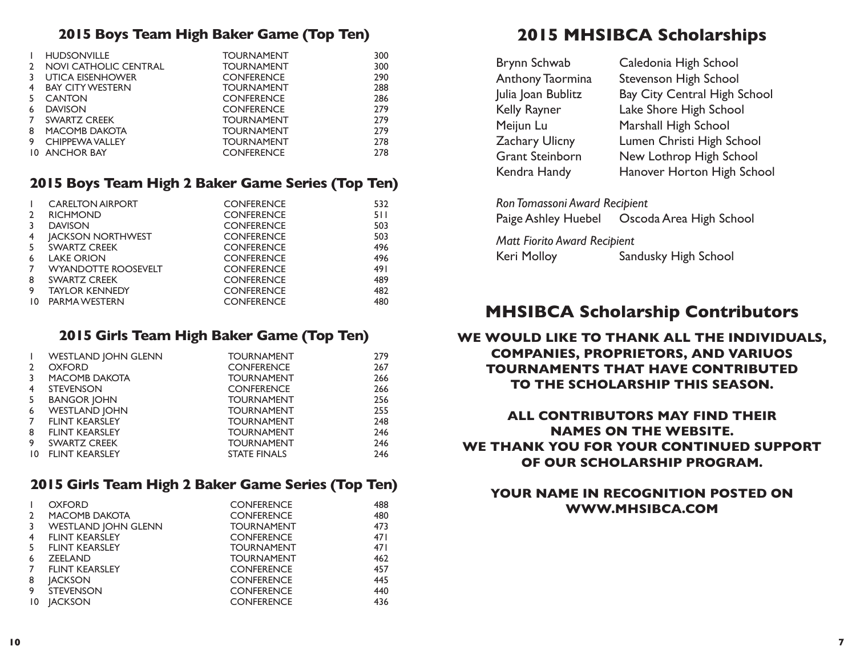## **2015 Boys Team High Baker Game (Top Ten)**

|    | <b>HUDSONVILLE</b>      | <b>TOURNAMENT</b> | 300 |
|----|-------------------------|-------------------|-----|
|    | NOVI CATHOLIC CENTRAL   | <b>TOURNAMENT</b> | 300 |
|    | <b>UTICA EISENHOWER</b> | <b>CONFERENCE</b> | 290 |
| 4  | <b>BAY CITY WESTERN</b> | <b>TOURNAMENT</b> | 288 |
| 5. | <b>CANTON</b>           | <b>CONFERENCE</b> | 286 |
| 6  | <b>DAVISON</b>          | <b>CONFERENCE</b> | 279 |
|    | <b>SWARTZ CREEK</b>     | <b>TOURNAMENT</b> | 279 |
| 8  | <b>MACOMB DAKOTA</b>    | <b>TOURNAMENT</b> | 279 |
| 9  | <b>CHIPPEWA VALLEY</b>  | <b>TOURNAMENT</b> | 278 |
|    | <b>10 ANCHOR BAY</b>    | <b>CONFERENCE</b> | 278 |

## **2015 Boys Team High 2 Baker Game Series (Top Ten)**

|    | <b>CARELTON AIRPORT</b>    | <b>CONFERENCE</b> | 532 |
|----|----------------------------|-------------------|-----|
| 2  | <b>RICHMOND</b>            | <b>CONFERENCE</b> | 511 |
|    | <b>DAVISON</b>             | <b>CONFERENCE</b> | 503 |
| 4  | <b>IACKSON NORTHWEST</b>   | <b>CONFERENCE</b> | 503 |
| 5  | SWARTZ CREEK               | <b>CONFERENCE</b> | 496 |
| 6  | <b>LAKE ORION</b>          | <b>CONFERENCE</b> | 496 |
|    | <b>WYANDOTTE ROOSEVELT</b> | <b>CONFERENCE</b> | 491 |
| 8  | SWARTZ CREEK               | <b>CONFERENCE</b> | 489 |
| 9  | <b>TAYLOR KENNEDY</b>      | <b>CONFERENCE</b> | 482 |
| 10 | PARMA WESTERN              | <b>CONFERENCE</b> | 480 |
|    |                            |                   |     |

## **2015 Girls Team High Baker Game (Top Ten)**

| $\mathbf{I}$   | <b>WESTLAND JOHN GLENN</b> | <b>TOURNAMENT</b>   | 279 |
|----------------|----------------------------|---------------------|-----|
| $\overline{2}$ | <b>OXFORD</b>              | <b>CONFERENCE</b>   | 267 |
| 3              | <b>MACOMB DAKOTA</b>       | <b>TOURNAMENT</b>   | 266 |
| 4              | <b>STEVENSON</b>           | <b>CONFERENCE</b>   | 266 |
| -5             | <b>BANGOR JOHN</b>         | <b>TOURNAMENT</b>   | 256 |
| 6              | <b>WESTLAND JOHN</b>       | <b>TOURNAMENT</b>   | 255 |
| $\overline{7}$ | <b>FLINT KEARSLEY</b>      | <b>TOURNAMENT</b>   | 248 |
| 8              | <b>FLINT KEARSLEY</b>      | <b>TOURNAMENT</b>   | 246 |
| 9              | SWARTZ CREEK               | <b>TOURNAMENT</b>   | 246 |
| $10^{\circ}$   | <b>FLINT KEARSLEY</b>      | <b>STATE FINALS</b> | 246 |

## **2015 Girls Team High 2 Baker Game Series (Top Ten)**

|              | <b>OXFORD</b>              | <b>CONFERENCE</b> | 488 |
|--------------|----------------------------|-------------------|-----|
| 2            | <b>MACOMB DAKOTA</b>       | <b>CONFERENCE</b> | 480 |
| 3            | <b>WESTLAND JOHN GLENN</b> | <b>TOURNAMENT</b> | 473 |
| 4            | <b>FLINT KEARSLEY</b>      | <b>CONFERENCE</b> | 471 |
| 5.           | <b>FLINT KEARSLEY</b>      | <b>TOURNAMENT</b> | 471 |
| 6            | <b>ZEELAND</b>             | <b>TOURNAMENT</b> | 462 |
|              | <b>FLINT KEARSLEY</b>      | <b>CONFERENCE</b> | 457 |
| 8            | <b>JACKSON</b>             | <b>CONFERENCE</b> | 445 |
| 9            | <b>STEVENSON</b>           | <b>CONFERENCE</b> | 440 |
| $10^{\circ}$ | <b>IACKSON</b>             | <b>CONFERENCE</b> | 436 |

# **2015 MHSIBCA Scholarships**

| Brynn Schwab            | Caledonia High School        |
|-------------------------|------------------------------|
| <b>Anthony Taormina</b> | <b>Stevenson High School</b> |
| Julia Joan Bublitz      | Bay City Central High School |
| Kelly Rayner            | Lake Shore High School       |
| Meijun Lu               | Marshall High School         |
| Zachary Ulicny          | Lumen Christi High School    |
| <b>Grant Steinborn</b>  | New Lothrop High School      |
| Kendra Handy            | Hanover Horton High School   |
|                         |                              |

| Ron Tomassoni Award Recipient |                                              |
|-------------------------------|----------------------------------------------|
|                               | Paige Ashley Huebel  Oscoda Area High School |

*Matt Fiorito Award Recipient* Keri Molloy Sandusky High School

# **MHSIBCA Scholarship Contributors**

## **WE WOULD LIKE TO THANK ALL THE INDIVIDUALS, COMPANIES, PROPRIETORS, AND VARIUOS TOURNAMENTS THAT HAVE CONTRIBUTED TO THE SCHOLARSHIP THIS SEASON.**

## **ALL CONTRIBUTORS MAY FIND THEIR NAMES ON THE WEBSITE. WE THANK YOU FOR YOUR CONTINUED SUPPORT OF OUR SCHOLARSHIP PROGRAM.**

## **YOUR NAME IN RECOGNITION POSTED ON WWW.MHSIBCA.COM**